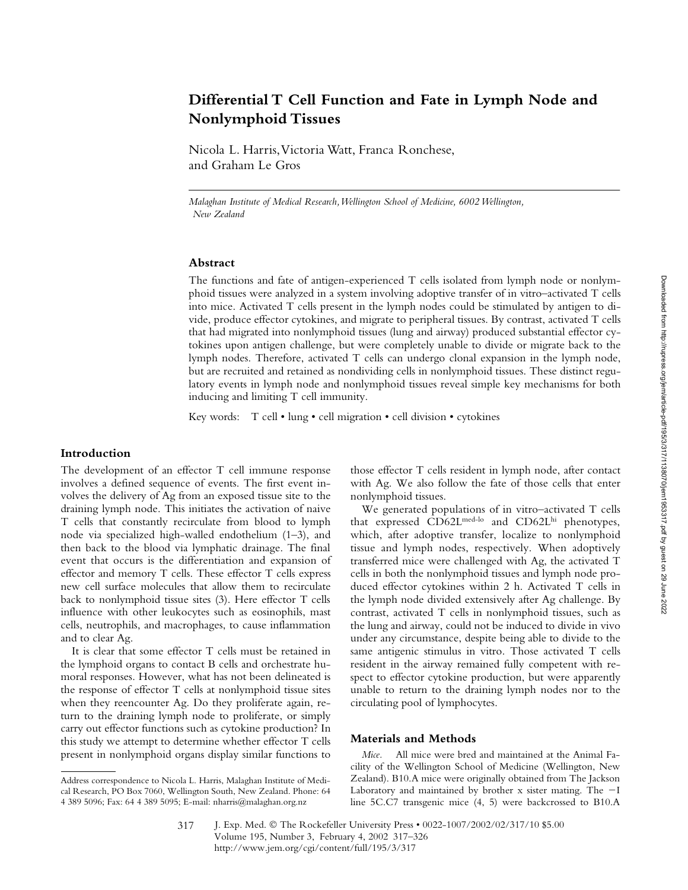# **Differential T Cell Function and Fate in Lymph Node and Nonlymphoid Tissues**

Nicola L. Harris, Victoria Watt, Franca Ronchese, and Graham Le Gros

*Malaghan Institute of Medical Research, Wellington School of Medicine, 6002 Wellington, New Zealand*

# **Abstract**

The functions and fate of antigen-experienced T cells isolated from lymph node or nonlymphoid tissues were analyzed in a system involving adoptive transfer of in vitro–activated T cells into mice. Activated T cells present in the lymph nodes could be stimulated by antigen to divide, produce effector cytokines, and migrate to peripheral tissues. By contrast, activated T cells that had migrated into nonlymphoid tissues (lung and airway) produced substantial effector cytokines upon antigen challenge, but were completely unable to divide or migrate back to the lymph nodes. Therefore, activated T cells can undergo clonal expansion in the lymph node, but are recruited and retained as nondividing cells in nonlymphoid tissues. These distinct regulatory events in lymph node and nonlymphoid tissues reveal simple key mechanisms for both inducing and limiting T cell immunity.

Key words: T cell • lung • cell migration • cell division • cytokines

# **Introduction**

The development of an effector T cell immune response involves a defined sequence of events. The first event involves the delivery of Ag from an exposed tissue site to the draining lymph node. This initiates the activation of naive T cells that constantly recirculate from blood to lymph node via specialized high-walled endothelium (1–3), and then back to the blood via lymphatic drainage. The final event that occurs is the differentiation and expansion of effector and memory T cells. These effector T cells express new cell surface molecules that allow them to recirculate back to nonlymphoid tissue sites (3). Here effector T cells influence with other leukocytes such as eosinophils, mast cells, neutrophils, and macrophages, to cause inflammation and to clear Ag.

It is clear that some effector T cells must be retained in the lymphoid organs to contact B cells and orchestrate humoral responses. However, what has not been delineated is the response of effector T cells at nonlymphoid tissue sites when they reencounter Ag. Do they proliferate again, return to the draining lymph node to proliferate, or simply carry out effector functions such as cytokine production? In this study we attempt to determine whether effector T cells present in nonlymphoid organs display similar functions to

those effector T cells resident in lymph node, after contact with Ag. We also follow the fate of those cells that enter nonlymphoid tissues.

We generated populations of in vitro–activated T cells that expressed CD62L<sup>med-lo</sup> and CD62L<sup>hi</sup> phenotypes, which, after adoptive transfer, localize to nonlymphoid tissue and lymph nodes, respectively. When adoptively transferred mice were challenged with Ag, the activated T cells in both the nonlymphoid tissues and lymph node produced effector cytokines within 2 h. Activated T cells in the lymph node divided extensively after Ag challenge. By contrast, activated T cells in nonlymphoid tissues, such as the lung and airway, could not be induced to divide in vivo under any circumstance, despite being able to divide to the same antigenic stimulus in vitro. Those activated T cells resident in the airway remained fully competent with respect to effector cytokine production, but were apparently unable to return to the draining lymph nodes nor to the circulating pool of lymphocytes.

### **Materials and Methods**

*Mice.* All mice were bred and maintained at the Animal Facility of the Wellington School of Medicine (Wellington, New Zealand). B10.A mice were originally obtained from The Jackson Laboratory and maintained by brother  $x$  sister mating. The  $-I$ line 5C.C7 transgenic mice (4, 5) were backcrossed to B10.A

Address correspondence to Nicola L. Harris, Malaghan Institute of Medical Research, PO Box 7060, Wellington South, New Zealand. Phone: 64 4 389 5096; Fax: 64 4 389 5095; E-mail: nharris@malaghan.org.nz

J. Exp. Med. © The Rockefeller University Press • 0022-1007/2002/02/317/10 \$5.00 Volume 195, Number 3, February 4, 2002 317–326 http://www.jem.org/cgi/content/full/195/3/317 317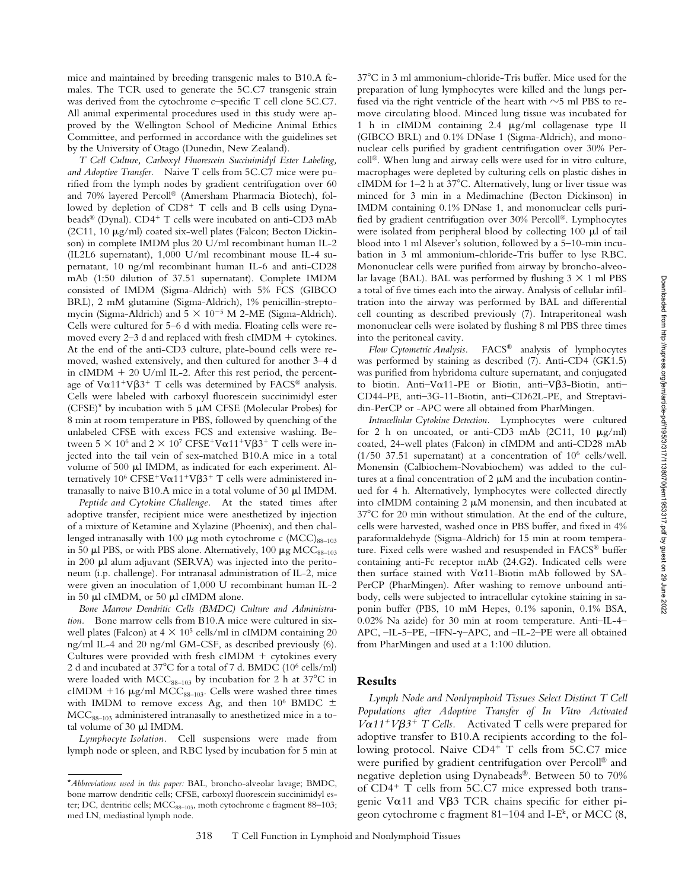mice and maintained by breeding transgenic males to B10.A females. The TCR used to generate the 5C.C7 transgenic strain was derived from the cytochrome c–specific T cell clone 5C.C7. All animal experimental procedures used in this study were approved by the Wellington School of Medicine Animal Ethics Committee, and performed in accordance with the guidelines set by the University of Otago (Dunedin, New Zealand).

*T Cell Culture, Carboxyl Fluorescein Succinimidyl Ester Labeling, and Adoptive Transfer.* Naive T cells from 5C.C7 mice were purified from the lymph nodes by gradient centrifugation over 60 and 70% layered Percoll® (Amersham Pharmacia Biotech), followed by depletion of  $CD8<sup>+</sup>$  T cells and B cells using Dynabeads<sup>®</sup> (Dynal).  $CD4+T$  cells were incubated on anti-CD3 mAb (2C11, 10  $\mu$ g/ml) coated six-well plates (Falcon; Becton Dickinson) in complete IMDM plus 20 U/ml recombinant human IL-2 (IL2L6 supernatant), 1,000 U/ml recombinant mouse IL-4 supernatant, 10 ng/ml recombinant human IL-6 and anti-CD28 mAb (1:50 dilution of 37.51 supernatant). Complete IMDM consisted of IMDM (Sigma-Aldrich) with 5% FCS (GIBCO BRL), 2 mM glutamine (Sigma-Aldrich), 1% penicillin-streptomycin (Sigma-Aldrich) and  $5 \times 10^{-5}$  M 2-ME (Sigma-Aldrich). Cells were cultured for 5–6 d with media. Floating cells were removed every  $2-3$  d and replaced with fresh cIMDM  $+$  cytokines. At the end of the anti-CD3 culture, plate-bound cells were removed, washed extensively, and then cultured for another 3–4 d in cIMDM  $+$  20 U/ml IL-2. After this rest period, the percentage of  $V\alpha$ 11<sup>+</sup>V $\beta$ 3<sup>+</sup> T cells was determined by FACS<sup>®</sup> analysis. Cells were labeled with carboxyl fluorescein succinimidyl ester  $(CFSE)^*$  by incubation with 5  $\mu$ M CFSE (Molecular Probes) for 8 min at room temperature in PBS, followed by quenching of the unlabeled CFSE with excess FCS and extensive washing. Between  $5 \times 10^6$  and  $2 \times 10^7$  CFSE<sup>+</sup>V $\alpha$ 11<sup>+</sup>V $\beta$ 3<sup>+</sup> T cells were injected into the tail vein of sex-matched B10.A mice in a total volume of  $500 \mu$  IMDM, as indicated for each experiment. Alternatively  $10^6$  CFSE<sup>+</sup>V $\alpha$ 11<sup>+</sup>V $\beta$ 3<sup>+</sup> T cells were administered intranasally to naive  $B10.A$  mice in a total volume of 30  $\mu$ IMDM.

*Peptide and Cytokine Challenge.* At the stated times after adoptive transfer, recipient mice were anesthetized by injection of a mixture of Ketamine and Xylazine (Phoenix), and then challenged intranasally with 100  $\mu$ g moth cytochrome c (MCC)<sub>88-103</sub> in 50  $\mu$ l PBS, or with PBS alone. Alternatively, 100  $\mu$ g MCC<sub>88-103</sub> in 200 µl alum adjuvant (SERVA) was injected into the peritoneum (i.p. challenge). For intranasal administration of IL-2, mice were given an inoculation of 1,000 U recombinant human IL-2 in 50  $\mu$ l cIMDM, or 50  $\mu$ l cIMDM alone.

*Bone Marrow Dendritic Cells (BMDC) Culture and Administration.* Bone marrow cells from B10.A mice were cultured in sixwell plates (Falcon) at  $4 \times 10^5$  cells/ml in cIMDM containing 20 ng/ml IL-4 and 20 ng/ml GM-CSF, as described previously (6). Cultures were provided with fresh  $cIMDM + cy$ tokines every 2 d and incubated at 37°C for a total of 7 d. BMDC (10<sup>6</sup> cells/ml) were loaded with  $MCC_{88-103}$  by incubation for 2 h at 37°C in cIMDM +16  $\mu$ g/ml MCC<sub>88-103</sub>. Cells were washed three times with IMDM to remove excess Ag, and then  $10^6$  BMDC  $\pm$ MCC88–103 administered intranasally to anesthetized mice in a total volume of  $30 \mu l$  IMDM.

*Lymphocyte Isolation.* Cell suspensions were made from lymph node or spleen, and RBC lysed by incubation for 5 min at 37C in 3 ml ammonium-chloride-Tris buffer. Mice used for the preparation of lung lymphocytes were killed and the lungs perfused via the right ventricle of the heart with  $\sim$ 5 ml PBS to remove circulating blood. Minced lung tissue was incubated for 1 h in cIMDM containing 2.4  $\mu$ g/ml collagenase type II (GIBCO BRL) and 0.1% DNase 1 (Sigma-Aldrich), and mononuclear cells purified by gradient centrifugation over 30% Percoll®. When lung and airway cells were used for in vitro culture, macrophages were depleted by culturing cells on plastic dishes in cIMDM for  $1-2$  h at  $37^{\circ}$ C. Alternatively, lung or liver tissue was minced for 3 min in a Medimachine (Becton Dickinson) in IMDM containing 0.1% DNase 1, and mononuclear cells purified by gradient centrifugation over 30% Percoll®. Lymphocytes were isolated from peripheral blood by collecting  $100 \mu l$  of tail blood into 1 ml Alsever's solution, followed by a 5–10-min incubation in 3 ml ammonium-chloride-Tris buffer to lyse RBC. Mononuclear cells were purified from airway by broncho-alveolar lavage (BAL). BAL was performed by flushing  $3 \times 1$  ml PBS a total of five times each into the airway. Analysis of cellular infiltration into the airway was performed by BAL and differential cell counting as described previously (7). Intraperitoneal wash mononuclear cells were isolated by flushing 8 ml PBS three times into the peritoneal cavity.

*Flow Cytometric Analysis.* FACS® analysis of lymphocytes was performed by staining as described (7). Anti-CD4 (GK1.5) was purified from hybridoma culture supernatant, and conjugated to biotin. Anti–V $\alpha$ 11-PE or Biotin, anti–V $\beta$ 3-Biotin, anti– CD44-PE, anti–3G-11-Biotin, anti–CD62L-PE, and Streptavidin-PerCP or -APC were all obtained from PharMingen.

*Intracellular Cytokine Detection.* Lymphocytes were cultured for 2 h on uncoated, or anti-CD3 mAb  $(2C11, 10 \mu g/ml)$ coated, 24-well plates (Falcon) in cIMDM and anti-CD28 mAb (1/50 37.51 supernatant) at a concentration of 106 cells/well. Monensin (Calbiochem-Novabiochem) was added to the cultures at a final concentration of 2  $\mu$ M and the incubation continued for 4 h. Alternatively, lymphocytes were collected directly into cIMDM containing  $2 \mu$ M monensin, and then incubated at  $37^{\circ}$ C for 20 min without stimulation. At the end of the culture, cells were harvested, washed once in PBS buffer, and fixed in 4% paraformaldehyde (Sigma-Aldrich) for 15 min at room temperature. Fixed cells were washed and resuspended in FACS® buffer containing anti-Fc receptor mAb (24.G2). Indicated cells were then surface stained with V $\alpha$ 11-Biotin mAb followed by SA-PerCP (PharMingen). After washing to remove unbound antibody, cells were subjected to intracellular cytokine staining in saponin buffer (PBS, 10 mM Hepes, 0.1% saponin, 0.1% BSA, 0.02% Na azide) for 30 min at room temperature. Anti–IL-4– APC, –IL-5–PE, –IFN- –APC, and –IL-2–PE were all obtained from PharMingen and used at a 1:100 dilution.

### **Results**

*Lymph Node and Nonlymphoid Tissues Select Distinct T Cell Populations after Adoptive Transfer of In Vitro Activated*  $V\alpha$ 11<sup>+</sup> $V\beta$ 3<sup>+</sup> *T Cells.* Activated T cells were prepared for adoptive transfer to B10.A recipients according to the following protocol. Naive  $CD4^+$  T cells from 5C.C7 mice were purified by gradient centrifugation over Percoll® and negative depletion using Dynabeads®. Between 50 to 70% of  $CD4^+$  T cells from 5C.C7 mice expressed both transgenic V $\alpha$ 11 and V $\beta$ 3 TCR chains specific for either pigeon cytochrome c fragment 81–104 and I-Ek, or MCC (8,

<sup>\*</sup>*Abbreviations used in this paper:* BAL, broncho-alveolar lavage; BMDC, bone marrow dendritic cells; CFSE, carboxyl fluorescein succinimidyl ester; DC, dentritic cells;  $MCC_{88-103}$ , moth cytochrome c fragment 88-103; med LN, mediastinal lymph node.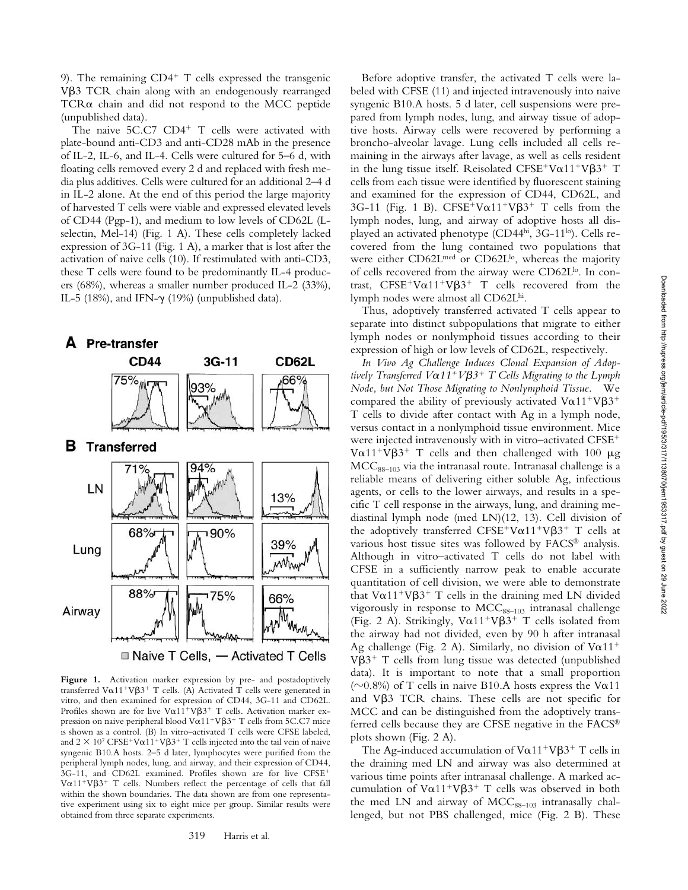9). The remaining  $CD4^+$  T cells expressed the transgenic V $\beta$ 3 TCR chain along with an endogenously rearranged  $TCR\alpha$  chain and did not respond to the MCC peptide (unpublished data).

The naive  $5C.C7$   $CD4+$  T cells were activated with plate-bound anti-CD3 and anti-CD28 mAb in the presence of IL-2, IL-6, and IL-4. Cells were cultured for 5–6 d, with floating cells removed every 2 d and replaced with fresh media plus additives. Cells were cultured for an additional 2–4 d in IL-2 alone. At the end of this period the large majority of harvested T cells were viable and expressed elevated levels of CD44 (Pgp-1), and medium to low levels of CD62L (Lselectin, Mel-14) (Fig. 1 A). These cells completely lacked expression of 3G-11 (Fig. 1 A), a marker that is lost after the activation of naive cells (10). If restimulated with anti-CD3, these T cells were found to be predominantly IL-4 producers (68%), whereas a smaller number produced IL-2 (33%), IL-5 (18%), and IFN- $\gamma$  (19%) (unpublished data).



Figure 1. Activation marker expression by pre- and postadoptively transferred  $V\alpha$ 11<sup>+</sup>V $\beta$ 3<sup>+</sup> T cells. (A) Activated T cells were generated in vitro, and then examined for expression of CD44, 3G-11 and CD62L. Profiles shown are for live V $\alpha$ 11<sup>+</sup>V $\beta$ 3<sup>+</sup> T cells. Activation marker expression on naive peripheral blood  $V\alpha$ 11<sup>+</sup>V $\beta$ 3<sup>+</sup> T cells from 5C.C7 mice is shown as a control. (B) In vitro–activated T cells were CFSE labeled, and  $2 \times 10^7$  CFSE<sup>+</sup>V $\alpha$ 11<sup>+</sup>V $\beta$ 3<sup>+</sup> T cells injected into the tail vein of naive syngenic B10.A hosts. 2–5 d later, lymphocytes were purified from the peripheral lymph nodes, lung, and airway, and their expression of CD44, 3G-11, and CD62L examined. Profiles shown are for live CFSE V $\alpha$ 11<sup>+</sup>V $\beta$ 3<sup>+</sup> T cells. Numbers reflect the percentage of cells that fall within the shown boundaries. The data shown are from one representative experiment using six to eight mice per group. Similar results were obtained from three separate experiments.

Before adoptive transfer, the activated T cells were labeled with CFSE (11) and injected intravenously into naive syngenic B10.A hosts. 5 d later, cell suspensions were prepared from lymph nodes, lung, and airway tissue of adoptive hosts. Airway cells were recovered by performing a broncho-alveolar lavage. Lung cells included all cells remaining in the airways after lavage, as well as cells resident in the lung tissue itself. Reisolated  $CFSE+Va1+VB3+T$ cells from each tissue were identified by fluorescent staining and examined for the expression of CD44, CD62L, and 3G-11 (Fig. 1 B).  $CFSE^{+}Va11^{+}V\beta3^{+}$  T cells from the lymph nodes, lung, and airway of adoptive hosts all displayed an activated phenotype (CD44hi, 3G-11lo). Cells recovered from the lung contained two populations that were either CD62L<sup>med</sup> or CD62L<sup>lo</sup>, whereas the majority of cells recovered from the airway were CD62L<sup>lo</sup>. In contrast,  $CFSE+Va11+V\beta3+T$  cells recovered from the lymph nodes were almost all CD62Lhi.

Thus, adoptively transferred activated T cells appear to separate into distinct subpopulations that migrate to either lymph nodes or nonlymphoid tissues according to their expression of high or low levels of CD62L, respectively.

*In Vivo Ag Challenge Induces Clonal Expansion of Adoptively Transferred*  $V\alpha 11^+ V\beta 3^+ T$  *Cells Migrating to the Lymph Node, but Not Those Migrating to Nonlymphoid Tissue.* We compared the ability of previously activated  $V\alpha$ 11+V $\beta$ 3+ T cells to divide after contact with Ag in a lymph node, versus contact in a nonlymphoid tissue environment. Mice were injected intravenously with in vitro–activated CFSE  $V\alpha$ 11<sup>+</sup>V $\beta$ 3<sup>+</sup> T cells and then challenged with 100  $\mu$ g  $MCC_{88-103}$  via the intranasal route. Intranasal challenge is a reliable means of delivering either soluble Ag, infectious agents, or cells to the lower airways, and results in a specific T cell response in the airways, lung, and draining mediastinal lymph node (med LN)(12, 13). Cell division of the adoptively transferred  $CFSE^{+}Va11^{+}VB3^{+}$  T cells at various host tissue sites was followed by FACS® analysis. Although in vitro–activated T cells do not label with CFSE in a sufficiently narrow peak to enable accurate quantitation of cell division, we were able to demonstrate that  $V\alpha$ 11<sup>+</sup>V $\beta$ 3<sup>+</sup> T cells in the draining med LN divided vigorously in response to  $MCC_{88-103}$  intranasal challenge (Fig. 2 A). Strikingly,  $V\alpha 11^{+}V\beta 3^{+}$  T cells isolated from the airway had not divided, even by 90 h after intranasal Ag challenge (Fig. 2 A). Similarly, no division of  $Va11^+$  $V\beta3$ <sup>+</sup> T cells from lung tissue was detected (unpublished data). It is important to note that a small proportion ( $\sim$ 0.8%) of T cells in naive B10.A hosts express the V $\alpha$ 11 and  $V\beta$ 3 TCR chains. These cells are not specific for MCC and can be distinguished from the adoptively transferred cells because they are CFSE negative in the FACS® plots shown (Fig. 2 A).

The Ag-induced accumulation of  $V\alpha$ 11<sup>+</sup>V $\beta$ 3<sup>+</sup> T cells in the draining med LN and airway was also determined at various time points after intranasal challenge. A marked accumulation of  $Va11+V\beta3+T$  cells was observed in both the med LN and airway of  $MCC_{88-103}$  intranasally challenged, but not PBS challenged, mice (Fig. 2 B). These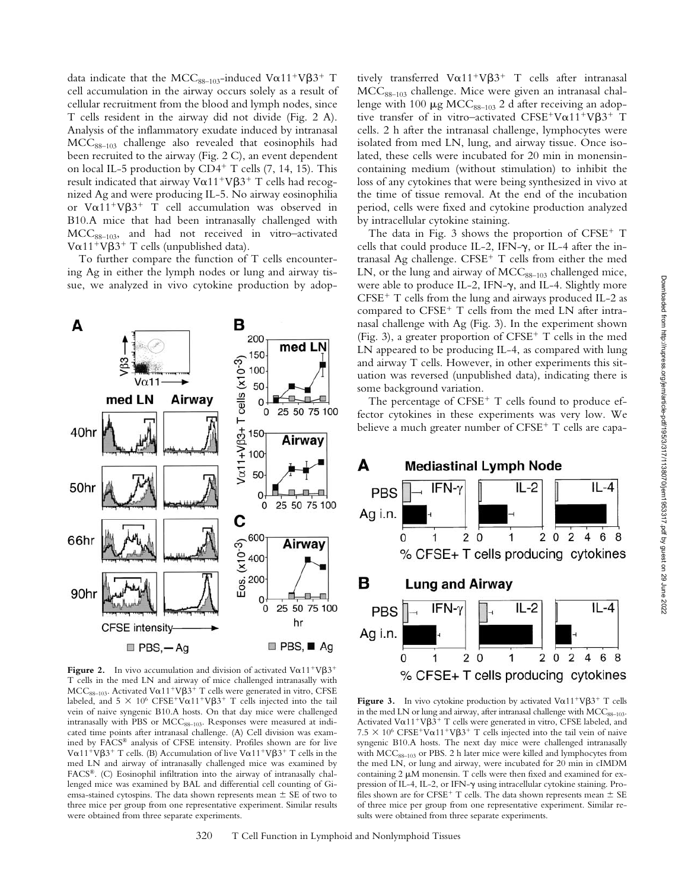data indicate that the MCC<sub>88-103</sub>-induced V $\alpha$ 11<sup>+</sup>V $\beta$ 3<sup>+</sup> T cell accumulation in the airway occurs solely as a result of cellular recruitment from the blood and lymph nodes, since T cells resident in the airway did not divide (Fig. 2 A). Analysis of the inflammatory exudate induced by intranasal MCC88–103 challenge also revealed that eosinophils had been recruited to the airway (Fig. 2 C), an event dependent on local IL-5 production by  $CD4^+$  T cells  $(7, 14, 15)$ . This result indicated that airway  $Va11^+V33^+$  T cells had recognized Ag and were producing IL-5. No airway eosinophilia or  $Va11+VB3+$  T cell accumulation was observed in B10.A mice that had been intranasally challenged with MCC88–103, and had not received in vitro–activated V $\alpha$ 11<sup>+</sup>V $\beta$ 3<sup>+</sup> T cells (unpublished data).

To further compare the function of T cells encountering Ag in either the lymph nodes or lung and airway tissue, we analyzed in vivo cytokine production by adop-



**Figure 2.** In vivo accumulation and division of activated  $V\alpha$ 11<sup>+</sup>V $\beta$ 3<sup>+</sup> T cells in the med LN and airway of mice challenged intranasally with  $MCC_{88-103}$ . Activated V $\alpha$ 11<sup>+</sup>V $\beta$ 3<sup>+</sup> T cells were generated in vitro, CFSE labeled, and  $5 \times 10^6$  CFSE<sup>+</sup>V $\alpha$ 11<sup>+</sup>V $\beta$ 3<sup>+</sup> T cells injected into the tail vein of naive syngenic B10.A hosts. On that day mice were challenged intranasally with PBS or MCC<sub>88-103</sub>. Responses were measured at indicated time points after intranasal challenge. (A) Cell division was examined by FACS® analysis of CFSE intensity. Profiles shown are for live V $\alpha$ 11<sup>+</sup>V $\beta$ 3<sup>+</sup> T cells. (B) Accumulation of live V $\alpha$ 11<sup>+</sup>V $\beta$ 3<sup>+</sup> T cells in the med LN and airway of intranasally challenged mice was examined by FACS®. (C) Eosinophil infiltration into the airway of intranasally challenged mice was examined by BAL and differential cell counting of Giemsa-stained cytospins. The data shown represents mean  $\pm$  SE of two to three mice per group from one representative experiment. Similar results were obtained from three separate experiments.

tively transferred  $V\alpha$ 11<sup>+</sup>V $\beta$ 3<sup>+</sup> T cells after intranasal MCC<sub>88-103</sub> challenge. Mice were given an intranasal challenge with 100  $\mu$ g MCC<sub>88-103</sub> 2 d after receiving an adoptive transfer of in vitro–activated CFSE<sup>+</sup>V $\alpha$ 11<sup>+</sup>V $\beta$ 3<sup>+</sup> T cells. 2 h after the intranasal challenge, lymphocytes were isolated from med LN, lung, and airway tissue. Once isolated, these cells were incubated for 20 min in monensincontaining medium (without stimulation) to inhibit the loss of any cytokines that were being synthesized in vivo at the time of tissue removal. At the end of the incubation period, cells were fixed and cytokine production analyzed by intracellular cytokine staining.

The data in Fig. 3 shows the proportion of  $CFSE^+$  T cells that could produce IL-2, IFN- $\gamma$ , or IL-4 after the intranasal Ag challenge.  $CFSE<sup>+</sup>$  T cells from either the med LN, or the lung and airway of  $MCC_{88-103}$  challenged mice, were able to produce IL-2, IFN- $\gamma$ , and IL-4. Slightly more  $CFSE<sup>+</sup>$  T cells from the lung and airways produced IL-2 as compared to  $CFSE^+$  T cells from the med LN after intranasal challenge with Ag (Fig. 3). In the experiment shown (Fig. 3), a greater proportion of  $CFSE^+$  T cells in the med LN appeared to be producing IL-4, as compared with lung and airway T cells. However, in other experiments this situation was reversed (unpublished data), indicating there is some background variation.

The percentage of  $CFSE^+$  T cells found to produce effector cytokines in these experiments was very low. We believe a much greater number of  $CFSE^+$  T cells are capa-



**Figure 3.** In vivo cytokine production by activated  $Va11+V\beta3+T$  cells in the med LN or lung and airway, after intranasal challenge with  $MCC_{88-103}$ . Activated V $\alpha$ 11<sup>+</sup>V $\beta$ 3<sup>+</sup> T cells were generated in vitro, CFSE labeled, and  $7.5 \times 10^6$  CFSE<sup>+</sup>V $\alpha$ 11<sup>+</sup>V $\beta$ 3<sup>+</sup> T cells injected into the tail vein of naive syngenic B10.A hosts. The next day mice were challenged intranasally with MCC<sub>88-103</sub> or PBS. 2 h later mice were killed and lymphocytes from the med LN, or lung and airway, were incubated for 20 min in cIMDM containing  $2 \mu M$  monensin. T cells were then fixed and examined for expression of IL-4, IL-2, or IFN- $\gamma$  using intracellular cytokine staining. Profiles shown are for CFSE<sup>+</sup> T cells. The data shown represents mean  $\pm$  SE of three mice per group from one representative experiment. Similar results were obtained from three separate experiments.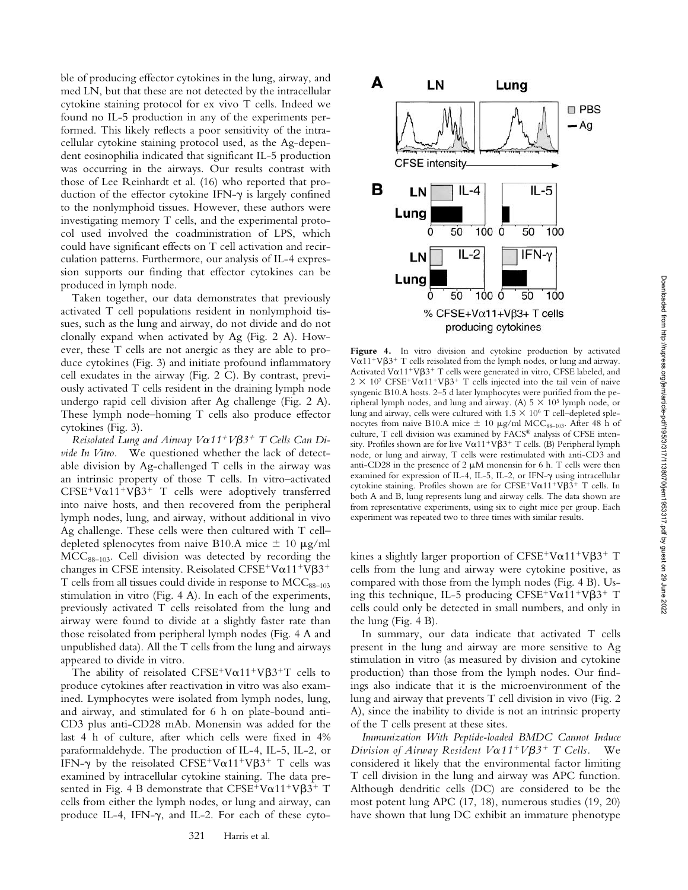ble of producing effector cytokines in the lung, airway, and med LN, but that these are not detected by the intracellular cytokine staining protocol for ex vivo T cells. Indeed we found no IL-5 production in any of the experiments performed. This likely reflects a poor sensitivity of the intracellular cytokine staining protocol used, as the Ag-dependent eosinophilia indicated that significant IL-5 production was occurring in the airways. Our results contrast with those of Lee Reinhardt et al. (16) who reported that production of the effector cytokine IFN- is largely confined to the nonlymphoid tissues. However, these authors were investigating memory T cells, and the experimental protocol used involved the coadministration of LPS, which could have significant effects on T cell activation and recirculation patterns. Furthermore, our analysis of IL-4 expression supports our finding that effector cytokines can be produced in lymph node.

Taken together, our data demonstrates that previously activated T cell populations resident in nonlymphoid tissues, such as the lung and airway, do not divide and do not clonally expand when activated by Ag (Fig. 2 A). However, these T cells are not anergic as they are able to produce cytokines (Fig. 3) and initiate profound inflammatory cell exudates in the airway (Fig. 2 C). By contrast, previously activated T cells resident in the draining lymph node undergo rapid cell division after Ag challenge (Fig. 2 A). These lymph node–homing T cells also produce effector cytokines (Fig. 3).

*Reisolated Lung and Airway V11V3 T Cells Can Divide In Vitro.* We questioned whether the lack of detectable division by Ag-challenged T cells in the airway was an intrinsic property of those T cells. In vitro–activated  $CFSE^{+}Va11^{+}VB3^{+}$  T cells were adoptively transferred into naive hosts, and then recovered from the peripheral lymph nodes, lung, and airway, without additional in vivo Ag challenge. These cells were then cultured with T cell– depleted splenocytes from naive B10.A mice  $\pm$  10  $\mu$ g/ml MCC88–103. Cell division was detected by recording the changes in CFSE intensity. Reisolated CFSE<sup>+</sup>V $\alpha$ 11<sup>+</sup>V $\beta$ 3<sup>+</sup> T cells from all tissues could divide in response to  $MCC_{88-103}$ stimulation in vitro (Fig. 4 A). In each of the experiments, previously activated T cells reisolated from the lung and airway were found to divide at a slightly faster rate than those reisolated from peripheral lymph nodes (Fig. 4 A and unpublished data). All the T cells from the lung and airways appeared to divide in vitro.

The ability of reisolated CFSE<sup>+</sup>V $\alpha$ 11<sup>+</sup>V $\beta$ 3<sup>+</sup>T cells to produce cytokines after reactivation in vitro was also examined. Lymphocytes were isolated from lymph nodes, lung, and airway, and stimulated for 6 h on plate-bound anti-CD3 plus anti-CD28 mAb. Monensin was added for the last 4 h of culture, after which cells were fixed in 4% paraformaldehyde. The production of IL-4, IL-5, IL-2, or IFN- $\gamma$  by the reisolated CFSE<sup>+</sup>V $\alpha$ 11<sup>+</sup>V $\beta$ 3<sup>+</sup> T cells was examined by intracellular cytokine staining. The data presented in Fig. 4 B demonstrate that  $CFSE^+V\alpha11^+V\beta3^+$  T cells from either the lymph nodes, or lung and airway, can produce IL-4, IFN- $\gamma$ , and IL-2. For each of these cyto-



Figure 4. In vitro division and cytokine production by activated  $V\alpha$ 11<sup>+</sup>V $\beta$ 3<sup>+</sup> T cells reisolated from the lymph nodes, or lung and airway. Activated  $V\alpha$ 11<sup>+</sup>V $\beta$ 3<sup>+</sup> T cells were generated in vitro, CFSE labeled, and  $2 \times 10^7$  CFSE<sup>+</sup>V $\alpha$ 11<sup>+</sup>V $\beta$ 3<sup>+</sup> T cells injected into the tail vein of naive syngenic B10.A hosts. 2–5 d later lymphocytes were purified from the peripheral lymph nodes, and lung and airway. (A)  $5 \times 10^5$  lymph node, or lung and airway, cells were cultured with  $1.5 \times 10^6$  T cell-depleted splenocytes from naive B10.A mice  $\pm$  10 µg/ml MCC<sub>88–103</sub>. After 48 h of culture, T cell division was examined by FACS® analysis of CFSE intensity. Profiles shown are for live V $\alpha$ 11<sup>+</sup>V $\beta$ 3<sup>+</sup> T cells. (B) Peripheral lymph node, or lung and airway, T cells were restimulated with anti-CD3 and anti-CD28 in the presence of 2  $\mu$ M monensin for 6 h. T cells were then examined for expression of IL-4, IL-5, IL-2, or IFN- $\gamma$  using intracellular cytokine staining. Profiles shown are for  $CFSE+Va11+V\beta3+T$  cells. In both A and B, lung represents lung and airway cells. The data shown are from representative experiments, using six to eight mice per group. Each experiment was repeated two to three times with similar results.

kines a slightly larger proportion of  $CFSE^{+}Va11^{+}V\beta3^{+}T$ cells from the lung and airway were cytokine positive, as compared with those from the lymph nodes (Fig. 4 B). Using this technique, IL-5 producing  $CFSE^{+}Va11^{+}V\beta3^{+}T$ cells could only be detected in small numbers, and only in the lung (Fig. 4 B).

In summary, our data indicate that activated T cells present in the lung and airway are more sensitive to Ag stimulation in vitro (as measured by division and cytokine production) than those from the lymph nodes. Our findings also indicate that it is the microenvironment of the lung and airway that prevents T cell division in vivo (Fig. 2 A), since the inability to divide is not an intrinsic property of the T cells present at these sites.

*Immunization With Peptide-loaded BMDC Cannot Induce Division of Airway Resident*  $V\alpha 11^+ V\beta 3^+ T$  *Cells.* We considered it likely that the environmental factor limiting T cell division in the lung and airway was APC function. Although dendritic cells (DC) are considered to be the most potent lung APC (17, 18), numerous studies (19, 20) have shown that lung DC exhibit an immature phenotype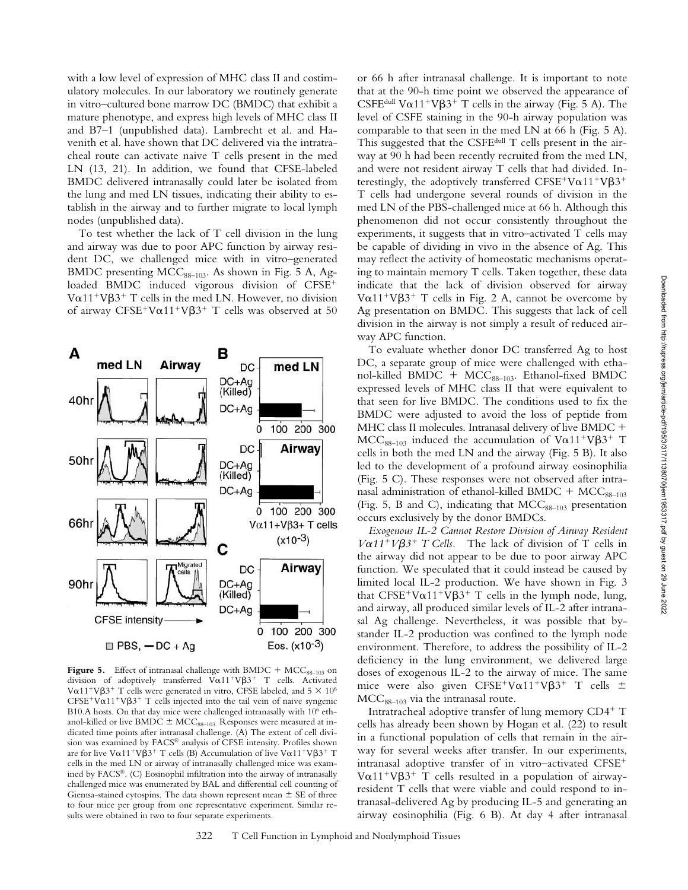with a low level of expression of MHC class II and costimulatory molecules. In our laboratory we routinely generate in vitro–cultured bone marrow DC (BMDC) that exhibit a mature phenotype, and express high levels of MHC class II and B7–1 (unpublished data). Lambrecht et al. and Havenith et al. have shown that DC delivered via the intratracheal route can activate naive T cells present in the med LN (13, 21). In addition, we found that CFSE-labeled BMDC delivered intranasally could later be isolated from the lung and med LN tissues, indicating their ability to establish in the airway and to further migrate to local lymph nodes (unpublished data).

To test whether the lack of T cell division in the lung and airway was due to poor APC function by airway resident DC, we challenged mice with in vitro–generated BMDC presenting  $MCC_{88-103}$ . As shown in Fig. 5 A, Agloaded BMDC induced vigorous division of CFSE  $V\alpha$ 11<sup>+</sup>V $\beta$ 3<sup>+</sup> T cells in the med LN. However, no division of airway CFSE<sup>+</sup>V $\alpha$ 11<sup>+</sup>V $\beta$ 3<sup>+</sup> T cells was observed at 50



**Figure 5.** Effect of intranasal challenge with BMDC  $+$  MCC<sub>88–103</sub> on division of adoptively transferred  $V\alpha$ 11+V $\beta$ 3+ T cells. Activated V $\alpha$ 11<sup>+</sup>V $\beta$ 3<sup>+</sup> T cells were generated in vitro, CFSE labeled, and 5  $\times$  10<sup>6</sup>  $CFSE+V\alpha 11+V\beta 3+T$  cells injected into the tail vein of naive syngenic B10.A hosts. On that day mice were challenged intranasally with 106 ethanol-killed or live BMDC  $\pm$  MCC<sub>88-103.</sub> Responses were measured at indicated time points after intranasal challenge. (A) The extent of cell division was examined by FACS® analysis of CFSE intensity. Profiles shown are for live V $\alpha$ 11<sup>+</sup>V $\beta$ 3<sup>+</sup> T cells (B) Accumulation of live V $\alpha$ 11<sup>+</sup>V $\beta$ 3<sup>+</sup> T cells in the med LN or airway of intranasally challenged mice was examined by FACS®. (C) Eosinophil infiltration into the airway of intranasally challenged mice was enumerated by BAL and differential cell counting of Giemsa-stained cytospins. The data shown represent mean  $\pm$  SE of three to four mice per group from one representative experiment. Similar results were obtained in two to four separate experiments.

or 66 h after intranasal challenge. It is important to note that at the 90-h time point we observed the appearance of CSFE<sup>dull</sup> V $\alpha$ 11<sup>+</sup>V $\beta$ 3<sup>+</sup> T cells in the airway (Fig. 5 A). The level of CSFE staining in the 90-h airway population was comparable to that seen in the med LN at 66 h (Fig. 5 A). This suggested that the CSFE<sup>dull</sup> T cells present in the airway at 90 h had been recently recruited from the med LN, and were not resident airway T cells that had divided. Interestingly, the adoptively transferred CFSE<sup>+</sup>V $\alpha$ 11<sup>+</sup>V $\beta$ 3<sup>+</sup> T cells had undergone several rounds of division in the med LN of the PBS-challenged mice at 66 h. Although this phenomenon did not occur consistently throughout the experiments, it suggests that in vitro–activated T cells may be capable of dividing in vivo in the absence of Ag. This may reflect the activity of homeostatic mechanisms operating to maintain memory T cells. Taken together, these data indicate that the lack of division observed for airway V $\alpha$ 11<sup>+</sup>V $\beta$ 3<sup>+</sup> T cells in Fig. 2 A, cannot be overcome by Ag presentation on BMDC. This suggests that lack of cell division in the airway is not simply a result of reduced airway APC function.

To evaluate whether donor DC transferred Ag to host DC, a separate group of mice were challenged with ethanol-killed BMDC +  $MCC_{88-103}$ . Ethanol-fixed BMDC expressed levels of MHC class II that were equivalent to that seen for live BMDC. The conditions used to fix the BMDC were adjusted to avoid the loss of peptide from MHC class II molecules. Intranasal delivery of live BMDC  $MCC_{88-103}$  induced the accumulation of V $\alpha$ 11<sup>+</sup>V $\beta$ 3<sup>+</sup> T cells in both the med LN and the airway (Fig. 5 B). It also led to the development of a profound airway eosinophilia (Fig. 5 C). These responses were not observed after intranasal administration of ethanol-killed BMDC +  $MCC_{88-103}$ (Fig. 5, B and C), indicating that  $MCC_{88-103}$  presentation occurs exclusively by the donor BMDCs.

*Exogenous IL-2 Cannot Restore Division of Airway Resident*  $V\alpha$ 11<sup>+</sup> $V\beta$ 3<sup>+</sup> *T* Cells. The lack of division of T cells in the airway did not appear to be due to poor airway APC function. We speculated that it could instead be caused by limited local IL-2 production. We have shown in Fig. 3 that CFSE<sup>+</sup>V $\alpha$ 11<sup>+</sup>V $\beta$ 3<sup>+</sup> T cells in the lymph node, lung, and airway, all produced similar levels of IL-2 after intranasal Ag challenge. Nevertheless, it was possible that bystander IL-2 production was confined to the lymph node environment. Therefore, to address the possibility of IL-2 deficiency in the lung environment, we delivered large doses of exogenous IL-2 to the airway of mice. The same mice were also given  $CFSE^+Va11^+V\beta3^+$  T cells  $\pm$  $MCC_{88-103}$  via the intranasal route.

Intratracheal adoptive transfer of lung memory CD4+ T cells has already been shown by Hogan et al. (22) to result in a functional population of cells that remain in the airway for several weeks after transfer. In our experiments, intranasal adoptive transfer of in vitro–activated CFSE  $V\alpha$ 11<sup>+</sup>V $\beta$ 3<sup>+</sup> T cells resulted in a population of airwayresident T cells that were viable and could respond to intranasal-delivered Ag by producing IL-5 and generating an airway eosinophilia (Fig. 6 B). At day 4 after intranasal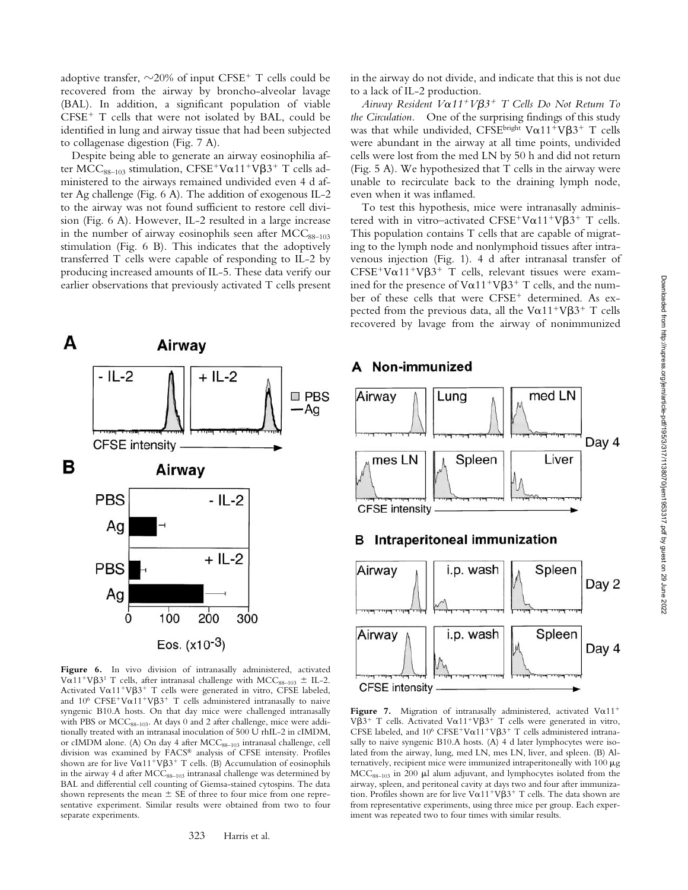adoptive transfer,  $\sim$ 20% of input CFSE<sup>+</sup> T cells could be recovered from the airway by broncho-alveolar lavage (BAL). In addition, a significant population of viable  $CFSE<sup>+</sup>$  T cells that were not isolated by BAL, could be identified in lung and airway tissue that had been subjected to collagenase digestion (Fig. 7 A).

Despite being able to generate an airway eosinophilia after MCC<sub>88–103</sub> stimulation, CFSE<sup>+</sup>V $\alpha$ 11<sup>+</sup>V $\beta$ 3<sup>+</sup> T cells administered to the airways remained undivided even 4 d after Ag challenge (Fig. 6 A). The addition of exogenous IL-2 to the airway was not found sufficient to restore cell division (Fig. 6 A). However, IL-2 resulted in a large increase in the number of airway eosinophils seen after  $MCC_{88-103}$ stimulation (Fig. 6 B). This indicates that the adoptively transferred T cells were capable of responding to IL-2 by producing increased amounts of IL-5. These data verify our earlier observations that previously activated T cells present



Figure 6. In vivo division of intranasally administered, activated  $V\alpha$ 11<sup>+</sup>V $\beta$ 3<sup>1</sup> T cells, after intranasal challenge with MCC<sub>88-103</sub>  $\pm$  IL-2. Activated V $\alpha$ 11<sup>+</sup>V $\beta$ 3<sup>+</sup> T cells were generated in vitro, CFSE labeled, and  $10^6$  CFSE<sup>+</sup>V $\alpha$ 11<sup>+</sup>V $\beta$ 3<sup>+</sup> T cells administered intranasally to naive syngenic B10.A hosts. On that day mice were challenged intranasally with PBS or MCC<sub>88-103</sub>. At days 0 and 2 after challenge, mice were additionally treated with an intranasal inoculation of 500 U rhIL-2 in cIMDM, or cIMDM alone. (A) On day 4 after MCC<sub>88-103</sub> intranasal challenge, cell division was examined by FACS® analysis of CFSE intensity. Profiles shown are for live V $\alpha$ 11<sup>+</sup>V $\beta$ 3<sup>+</sup> T cells. (B) Accumulation of eosinophils in the airway 4 d after MCC<sub>88-103</sub> intranasal challenge was determined by BAL and differential cell counting of Giemsa-stained cytospins. The data shown represents the mean  $\pm$  SE of three to four mice from one representative experiment. Similar results were obtained from two to four separate experiments.

in the airway do not divide, and indicate that this is not due to a lack of IL-2 production.

*Airway Resident V11V3 T Cells Do Not Return To the Circulation.* One of the surprising findings of this study was that while undivided, CFSE<sup>bright</sup>  $V\alpha$ 11<sup>+</sup>V $\beta$ 3<sup>+</sup> T cells were abundant in the airway at all time points, undivided cells were lost from the med LN by 50 h and did not return (Fig. 5 A). We hypothesized that T cells in the airway were unable to recirculate back to the draining lymph node, even when it was inflamed.

To test this hypothesis, mice were intranasally administered with in vitro–activated CFSE<sup>+</sup>V $\alpha$ 11<sup>+</sup>V $\beta$ 3<sup>+</sup> T cells. This population contains T cells that are capable of migrating to the lymph node and nonlymphoid tissues after intravenous injection (Fig. 1). 4 d after intranasal transfer of  $CFSE+V\alpha$ 11+V $\beta$ 3+ T cells, relevant tissues were examined for the presence of  $V\alpha$ 11<sup>+</sup>V $\beta$ 3<sup>+</sup> T cells, and the number of these cells that were CFSE<sup>+</sup> determined. As expected from the previous data, all the  $Va11+V33+T$  cells recovered by lavage from the airway of nonimmunized

#### Non-immunized A



Figure 7. Migration of intranasally administered, activated  $V\alpha$ 11<sup>+</sup>  $V\overline{B}3^+$  T cells. Activated V $\alpha$ 11<sup>+</sup>V $\beta$ 3<sup>+</sup> T cells were generated in vitro, CFSE labeled, and  $10^6$  CFSE<sup>+</sup>V $\alpha$ 11<sup>+</sup>V $\beta$ 3<sup>+</sup> T cells administered intranasally to naive syngenic B10.A hosts. (A) 4 d later lymphocytes were isolated from the airway, lung, med LN, mes LN, liver, and spleen. (B) Alternatively, recipient mice were immunized intraperitoneally with  $100 \mu$ g  $MCC_{88-103}$  in 200 µl alum adjuvant, and lymphocytes isolated from the airway, spleen, and peritoneal cavity at days two and four after immunization. Profiles shown are for live  $V\alpha$ 11<sup>+</sup>V $\beta$ 3<sup>+</sup> T cells. The data shown are from representative experiments, using three mice per group. Each experiment was repeated two to four times with similar results.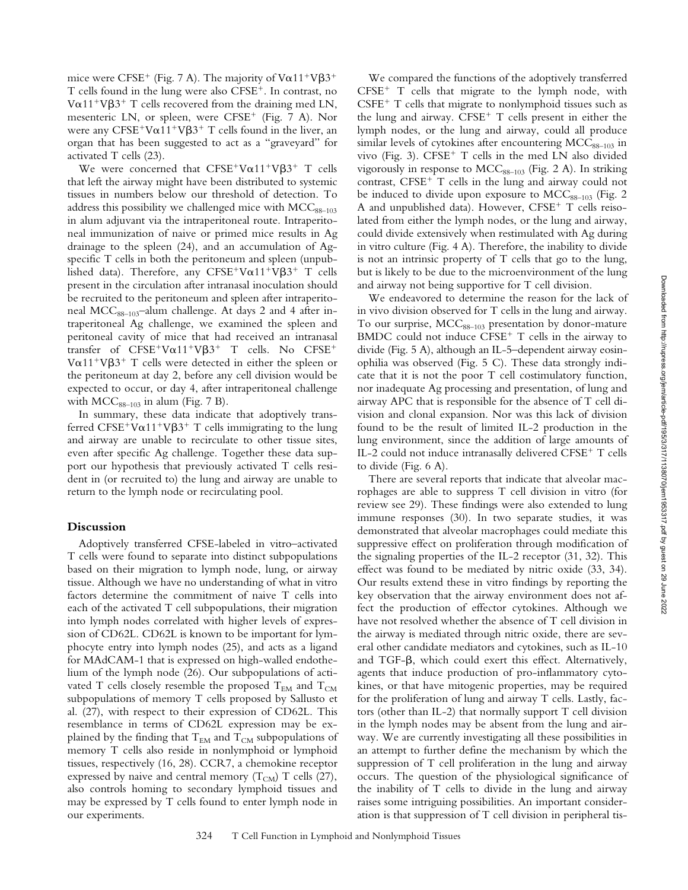mice were CFSE<sup>+</sup> (Fig. 7 A). The majority of  $V\alpha$ 11<sup>+</sup>V $\beta$ 3<sup>+</sup> T cells found in the lung were also CFSE<sup>+</sup>. In contrast, no V $\alpha$ 11<sup>+</sup>V $\beta$ 3<sup>+</sup> T cells recovered from the draining med LN, mesenteric LN, or spleen, were CFSE<sup>+</sup> (Fig. 7 A). Nor were any CFSE<sup>+</sup>V $\alpha$ 11<sup>+</sup>V $\beta$ 3<sup>+</sup> T cells found in the liver, an organ that has been suggested to act as a "graveyard" for activated T cells (23).

We were concerned that  $CFSE^{+}Va11^{+}VB3^{+}$  T cells that left the airway might have been distributed to systemic tissues in numbers below our threshold of detection. To address this possibility we challenged mice with  $MCC_{88-103}$ in alum adjuvant via the intraperitoneal route. Intraperitoneal immunization of naive or primed mice results in Ag drainage to the spleen (24), and an accumulation of Agspecific T cells in both the peritoneum and spleen (unpublished data). Therefore, any CFSE<sup>+</sup>V $\alpha$ 11<sup>+</sup>V $\beta$ 3<sup>+</sup> T cells present in the circulation after intranasal inoculation should be recruited to the peritoneum and spleen after intraperitoneal  $\text{MCC}_{88-103}$ -alum challenge. At days 2 and 4 after intraperitoneal Ag challenge, we examined the spleen and peritoneal cavity of mice that had received an intranasal transfer of  $CFSE^+Va11^+V\beta3^+$  T cells. No  $CFSE^+$ V $\alpha$ 11<sup>+</sup>V $\beta$ 3<sup>+</sup> T cells were detected in either the spleen or the peritoneum at day 2, before any cell division would be expected to occur, or day 4, after intraperitoneal challenge with  $MCC_{88-103}$  in alum (Fig. 7 B).

In summary, these data indicate that adoptively transferred CFSE<sup>+</sup>V $\alpha$ 11<sup>+</sup>V $\beta$ 3<sup>+</sup> T cells immigrating to the lung and airway are unable to recirculate to other tissue sites, even after specific Ag challenge. Together these data support our hypothesis that previously activated T cells resident in (or recruited to) the lung and airway are unable to return to the lymph node or recirculating pool.

#### **Discussion**

Adoptively transferred CFSE-labeled in vitro–activated T cells were found to separate into distinct subpopulations based on their migration to lymph node, lung, or airway tissue. Although we have no understanding of what in vitro factors determine the commitment of naive T cells into each of the activated T cell subpopulations, their migration into lymph nodes correlated with higher levels of expression of CD62L. CD62L is known to be important for lymphocyte entry into lymph nodes (25), and acts as a ligand for MAdCAM-1 that is expressed on high-walled endothelium of the lymph node (26). Our subpopulations of activated T cells closely resemble the proposed  $T_{EM}$  and  $T_{CM}$ subpopulations of memory T cells proposed by Sallusto et al. (27), with respect to their expression of CD62L. This resemblance in terms of CD62L expression may be explained by the finding that  $T_{EM}$  and  $T_{CM}$  subpopulations of memory T cells also reside in nonlymphoid or lymphoid tissues, respectively (16, 28). CCR7, a chemokine receptor expressed by naive and central memory  $(T_{CM})$  T cells (27), also controls homing to secondary lymphoid tissues and may be expressed by T cells found to enter lymph node in our experiments.

We compared the functions of the adoptively transferred  $CFSE<sup>+</sup>$  T cells that migrate to the lymph node, with  $CSE<sup>+</sup>$  T cells that migrate to nonlymphoid tissues such as the lung and airway.  $CFSE^{+}$  T cells present in either the lymph nodes, or the lung and airway, could all produce similar levels of cytokines after encountering  $MCC_{88-103}$  in vivo (Fig. 3).  $CFSE^+$  T cells in the med LN also divided vigorously in response to  $MCC_{88-103}$  (Fig. 2 A). In striking contrast,  $CFSE^+$  T cells in the lung and airway could not be induced to divide upon exposure to  $\textrm{MCC}_{88-103}$  (Fig. 2) A and unpublished data). However,  $CFSE^+$  T cells reisolated from either the lymph nodes, or the lung and airway, could divide extensively when restimulated with Ag during in vitro culture (Fig. 4 A). Therefore, the inability to divide is not an intrinsic property of T cells that go to the lung, but is likely to be due to the microenvironment of the lung and airway not being supportive for T cell division.

We endeavored to determine the reason for the lack of in vivo division observed for T cells in the lung and airway. To our surprise,  $MCC_{88-103}$  presentation by donor-mature BMDC could not induce  $CFSE^+$  T cells in the airway to divide (Fig. 5 A), although an IL-5–dependent airway eosinophilia was observed (Fig. 5 C). These data strongly indicate that it is not the poor T cell costimulatory function, nor inadequate Ag processing and presentation, of lung and airway APC that is responsible for the absence of T cell division and clonal expansion. Nor was this lack of division found to be the result of limited IL-2 production in the lung environment, since the addition of large amounts of IL-2 could not induce intranasally delivered  $CFSE^+$  T cells to divide (Fig. 6 A).

There are several reports that indicate that alveolar macrophages are able to suppress T cell division in vitro (for review see 29). These findings were also extended to lung immune responses (30). In two separate studies, it was demonstrated that alveolar macrophages could mediate this suppressive effect on proliferation through modification of the signaling properties of the IL-2 receptor (31, 32). This effect was found to be mediated by nitric oxide (33, 34). Our results extend these in vitro findings by reporting the key observation that the airway environment does not affect the production of effector cytokines. Although we have not resolved whether the absence of T cell division in the airway is mediated through nitric oxide, there are several other candidate mediators and cytokines, such as IL-10 and TGF- $\beta$ , which could exert this effect. Alternatively, agents that induce production of pro-inflammatory cytokines, or that have mitogenic properties, may be required for the proliferation of lung and airway T cells. Lastly, factors (other than IL-2) that normally support T cell division in the lymph nodes may be absent from the lung and airway. We are currently investigating all these possibilities in an attempt to further define the mechanism by which the suppression of T cell proliferation in the lung and airway occurs. The question of the physiological significance of the inability of T cells to divide in the lung and airway raises some intriguing possibilities. An important consideration is that suppression of T cell division in peripheral tis-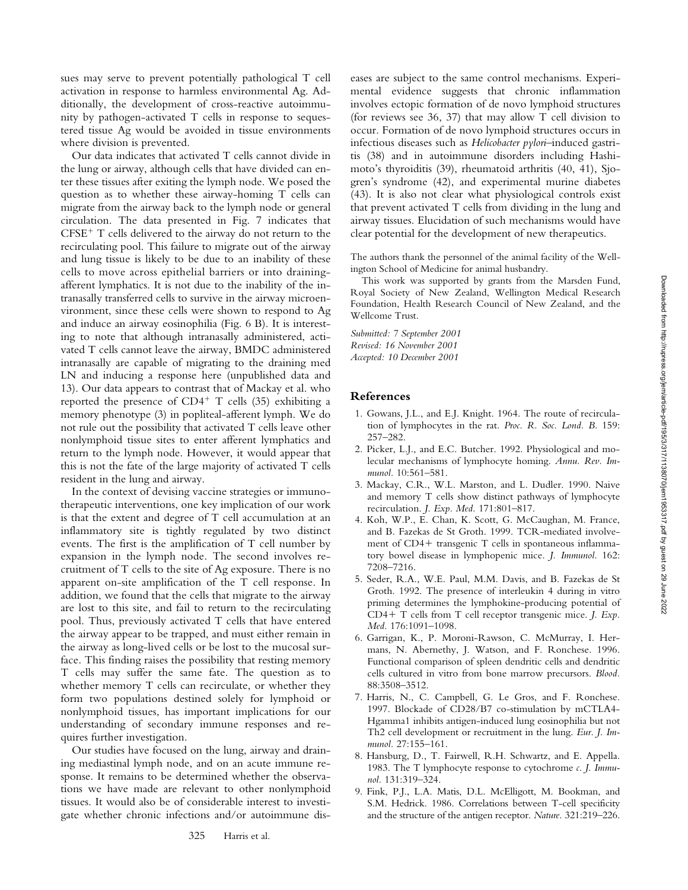Downloaded from http://rupress.org/jem/article-pdf/195/3/317/1138070/jem1953317.pdf by guest on 29 June 2022 Downloaded from http://rupress.org/jem/article-pdf/195/3/317/1138070/jem1953317.pdf by guest on 29 June 2022

sues may serve to prevent potentially pathological T cell activation in response to harmless environmental Ag. Additionally, the development of cross-reactive autoimmunity by pathogen-activated T cells in response to sequestered tissue Ag would be avoided in tissue environments where division is prevented.

Our data indicates that activated T cells cannot divide in the lung or airway, although cells that have divided can enter these tissues after exiting the lymph node. We posed the question as to whether these airway-homing T cells can migrate from the airway back to the lymph node or general circulation. The data presented in Fig. 7 indicates that  $CFSE<sup>+</sup>$  T cells delivered to the airway do not return to the recirculating pool. This failure to migrate out of the airway and lung tissue is likely to be due to an inability of these cells to move across epithelial barriers or into drainingafferent lymphatics. It is not due to the inability of the intranasally transferred cells to survive in the airway microenvironment, since these cells were shown to respond to Ag and induce an airway eosinophilia (Fig. 6 B). It is interesting to note that although intranasally administered, activated T cells cannot leave the airway, BMDC administered intranasally are capable of migrating to the draining med LN and inducing a response here (unpublished data and 13). Our data appears to contrast that of Mackay et al. who reported the presence of  $CD4^+$  T cells (35) exhibiting a memory phenotype (3) in popliteal-afferent lymph. We do not rule out the possibility that activated T cells leave other nonlymphoid tissue sites to enter afferent lymphatics and return to the lymph node. However, it would appear that this is not the fate of the large majority of activated T cells resident in the lung and airway.

In the context of devising vaccine strategies or immunotherapeutic interventions, one key implication of our work is that the extent and degree of T cell accumulation at an inflammatory site is tightly regulated by two distinct events. The first is the amplification of T cell number by expansion in the lymph node. The second involves recruitment of T cells to the site of Ag exposure. There is no apparent on-site amplification of the T cell response. In addition, we found that the cells that migrate to the airway are lost to this site, and fail to return to the recirculating pool. Thus, previously activated T cells that have entered the airway appear to be trapped, and must either remain in the airway as long-lived cells or be lost to the mucosal surface. This finding raises the possibility that resting memory T cells may suffer the same fate. The question as to whether memory T cells can recirculate, or whether they form two populations destined solely for lymphoid or nonlymphoid tissues, has important implications for our understanding of secondary immune responses and requires further investigation.

Our studies have focused on the lung, airway and draining mediastinal lymph node, and on an acute immune response. It remains to be determined whether the observations we have made are relevant to other nonlymphoid tissues. It would also be of considerable interest to investigate whether chronic infections and/or autoimmune diseases are subject to the same control mechanisms. Experimental evidence suggests that chronic inflammation involves ectopic formation of de novo lymphoid structures (for reviews see 36, 37) that may allow T cell division to occur. Formation of de novo lymphoid structures occurs in infectious diseases such as *Helicobacter pylori*–induced gastritis (38) and in autoimmune disorders including Hashimoto's thyroiditis (39), rheumatoid arthritis (40, 41), Sjogren's syndrome (42), and experimental murine diabetes (43). It is also not clear what physiological controls exist that prevent activated T cells from dividing in the lung and airway tissues. Elucidation of such mechanisms would have clear potential for the development of new therapeutics.

The authors thank the personnel of the animal facility of the Wellington School of Medicine for animal husbandry.

This work was supported by grants from the Marsden Fund, Royal Society of New Zealand, Wellington Medical Research Foundation, Health Research Council of New Zealand, and the Wellcome Trust.

*Submitted: 7 September 2001 Revised: 16 November 2001 Accepted: 10 December 2001*

### **References**

- 1. Gowans, J.L., and E.J. Knight. 1964. The route of recirculation of lymphocytes in the rat. *Proc. R. Soc. Lond. B.* 159: 257–282.
- 2. Picker, L.J., and E.C. Butcher. 1992. Physiological and molecular mechanisms of lymphocyte homing. *Annu. Rev. Immunol.* 10:561–581.
- 3. Mackay, C.R., W.L. Marston, and L. Dudler. 1990. Naive and memory T cells show distinct pathways of lymphocyte recirculation. *J. Exp. Med.* 171:801–817.
- 4. Koh, W.P., E. Chan, K. Scott, G. McCaughan, M. France, and B. Fazekas de St Groth. 1999. TCR-mediated involvement of CD4+ transgenic T cells in spontaneous inflammatory bowel disease in lymphopenic mice. *J. Immunol.* 162: 7208–7216.
- 5. Seder, R.A., W.E. Paul, M.M. Davis, and B. Fazekas de St Groth. 1992. The presence of interleukin 4 during in vitro priming determines the lymphokine-producing potential of CD4+ T cells from T cell receptor transgenic mice. *J. Exp. Med.* 176:1091–1098.
- 6. Garrigan, K., P. Moroni-Rawson, C. McMurray, I. Hermans, N. Abernethy, J. Watson, and F. Ronchese. 1996. Functional comparison of spleen dendritic cells and dendritic cells cultured in vitro from bone marrow precursors. *Blood.* 88:3508–3512.
- 7. Harris, N., C. Campbell, G. Le Gros, and F. Ronchese. 1997. Blockade of CD28/B7 co-stimulation by mCTLA4- Hgamma1 inhibits antigen-induced lung eosinophilia but not Th2 cell development or recruitment in the lung. *Eur. J. Immunol.* 27:155–161.
- 8. Hansburg, D., T. Fairwell, R.H. Schwartz, and E. Appella. 1983. The T lymphocyte response to cytochrome *c. J. Immunol.* 131:319–324.
- 9. Fink, P.J., L.A. Matis, D.L. McElligott, M. Bookman, and S.M. Hedrick. 1986. Correlations between T-cell specificity and the structure of the antigen receptor. *Nature.* 321:219–226.